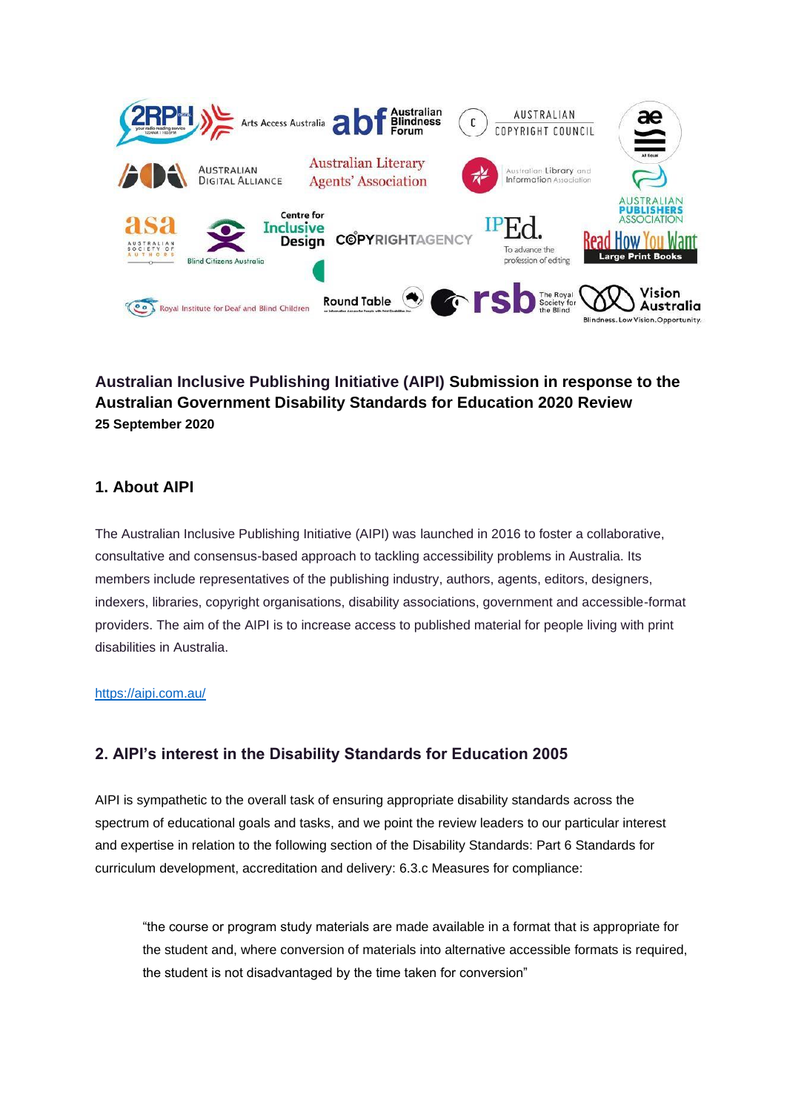

# **Australian Inclusive Publishing Initiative (AIPI) Submission in response to the Australian Government Disability Standards for Education 2020 Review 25 September 2020**

## **1. About AIPI**

The Australian Inclusive Publishing Initiative (AIPI) was launched in 2016 to foster a collaborative, consultative and consensus-based approach to tackling accessibility problems in Australia. Its members include representatives of the publishing industry, authors, agents, editors, designers, indexers, libraries, copyright organisations, disability associations, government and accessible-format providers. The aim of the AIPI is to increase access to published material for people living with print disabilities in Australia.

#### <https://aipi.com.au/>

## **2. AIPI's interest in the Disability Standards for Education 2005**

AIPI is sympathetic to the overall task of ensuring appropriate disability standards across the spectrum of educational goals and tasks, and we point the review leaders to our particular interest and expertise in relation to the following section of the Disability Standards: Part 6 Standards for curriculum development, accreditation and delivery: 6.3.c Measures for compliance:

"the course or program study materials are made available in a format that is appropriate for the student and, where conversion of materials into alternative accessible formats is required, the student is not disadvantaged by the time taken for conversion"